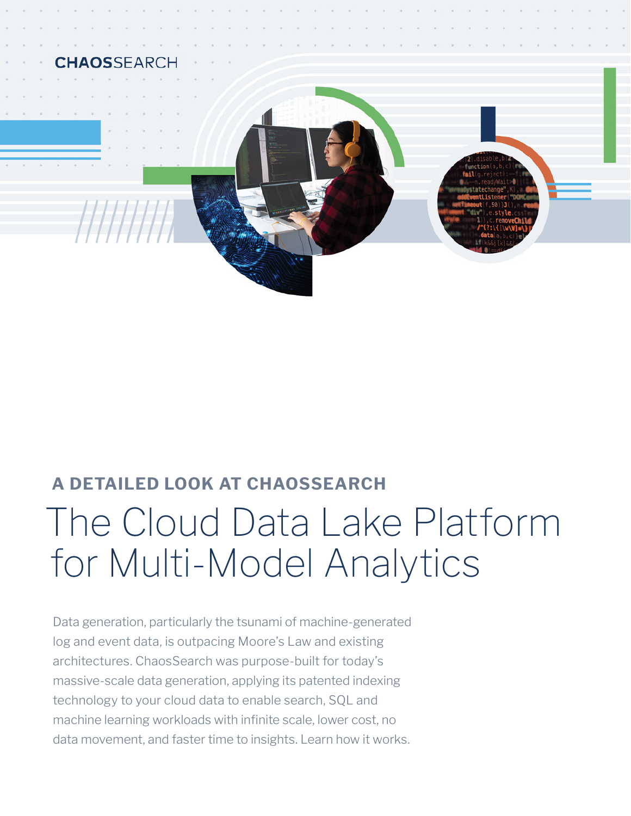

# **A DETAILED LOOK AT CHAOSSEARCH** The Cloud Data Lake Platform for Multi-Model Analytics

Data generation, particularly the tsunami of machine-generated log and event data, is outpacing Moore's Law and existing architectures. ChaosSearch was purpose-built for today's massive-scale data generation, applying its patented indexing technology to your cloud data to enable search, SQL and machine learning workloads with infinite scale, lower cost, no data movement, and faster time to insights. Learn how it works.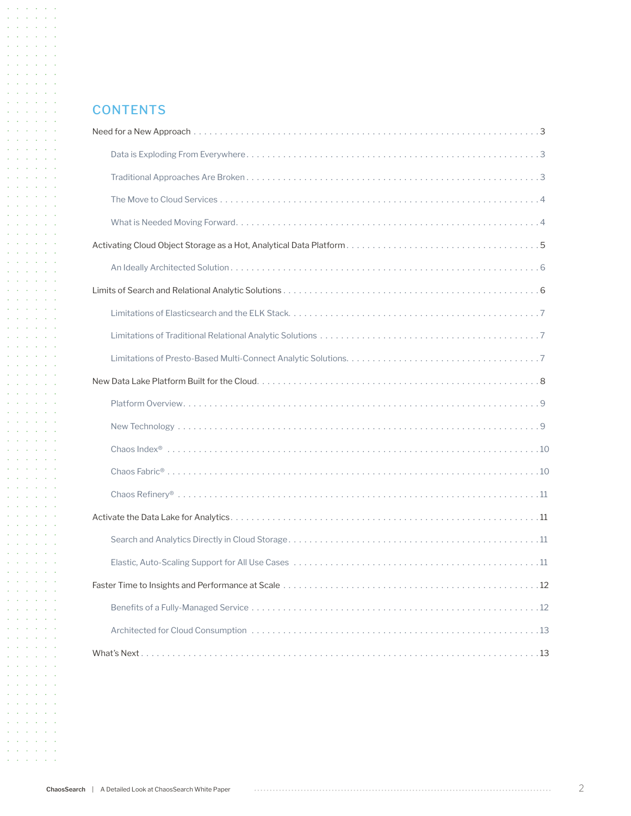#### **CONTENTS**

 $\mathcal{A}$  and  $\mathcal{A}$  are  $\mathcal{A}$  . Then  $\mathcal{A}=\mathcal{A}$  , where  $\mathcal{A}=\mathcal{A}$  ,  $\mathcal{A}=\mathcal{A}$  $\mathcal{A}$  and  $\mathcal{A}$  are  $\mathcal{A}$  and  $\mathcal{A}$  $\mathcal{A}$  and  $\mathcal{A}$  are  $\mathcal{A}$  . Then  $\mathcal{A}=\mathcal{A}=\mathcal{A}=\mathcal{A}=\mathcal{A}=\mathcal{A}$ the contract of the con- $\mathcal{A}=\mathcal{A}=\mathcal{A}=\mathcal{A}=\mathcal{A}=\mathcal{A}$  $\mathcal{L}^{\mathcal{A}}$  ,  $\mathcal{L}^{\mathcal{A}}$  ,  $\mathcal{L}^{\mathcal{A}}$  ,  $\mathcal{L}^{\mathcal{A}}$  ,  $\mathcal{L}^{\mathcal{A}}$ and a state of the  $\mathcal{A}=\mathcal{A}=\mathcal{A}=\mathcal{A}=\mathcal{A}=\mathcal{A}$ and a state of the state and a state of the and a state of the  $\mathcal{L}^{\mathcal{A}}(\mathcal{A})$  ,  $\mathcal{L}^{\mathcal{A}}(\mathcal{A})$  ,  $\mathcal{L}^{\mathcal{A}}(\mathcal{A})$ **Service State**  $\mathcal{A}=\mathcal{A}=\mathcal{A}=\mathcal{A}=\mathcal{A}=\mathcal{A}$ and a state of the and a state of the  $\mathcal{A}=\mathcal{A}=\mathcal{A}=\mathcal{A}=\mathcal{A}=\mathcal{A}$  $\Delta$  ,  $\Delta$  ,  $\Delta$  ,  $\Delta$  ,  $\Delta$  ,  $\Delta$  ,  $\Delta$  $\mathcal{L}^{\mathcal{A}}$  ,  $\mathcal{L}^{\mathcal{A}}$  ,  $\mathcal{L}^{\mathcal{A}}$  ,  $\mathcal{L}^{\mathcal{A}}$  ,  $\mathcal{L}^{\mathcal{A}}$ and a state of the  $\mathcal{L}^{\mathcal{A}}(\mathcal{A})$  ,  $\mathcal{L}^{\mathcal{A}}(\mathcal{A})$  ,  $\mathcal{L}^{\mathcal{A}}(\mathcal{A})$  $\mathcal{A}=\mathcal{A}=\mathcal{A}=\mathcal{A}=\mathcal{A}=\mathcal{A}$  $\mathcal{A}=\mathcal{A}=\mathcal{A}=\mathcal{A}=\mathcal{A}=\mathcal{A}$ and a state of  $\mathcal{L}^{\mathcal{A}}$  ,  $\mathcal{L}^{\mathcal{A}}$  ,  $\mathcal{L}^{\mathcal{A}}$  ,  $\mathcal{L}^{\mathcal{A}}$  ,  $\mathcal{L}^{\mathcal{A}}$  ,  $\mathcal{L}^{\mathcal{A}}$ the contract of the conand a state of the  $\mathcal{A}=\mathcal{A}=\mathcal{A}=\mathcal{A}=\mathcal{A}=\mathcal{A}$  $\mathcal{A}=\mathcal{A}$  , and  $\mathcal{A}=\mathcal{A}$  , and  $\mathcal{L}^{\mathcal{A}}$  ,  $\mathcal{L}^{\mathcal{A}}$  ,  $\mathcal{L}^{\mathcal{A}}$  ,  $\mathcal{L}^{\mathcal{A}}$  ,  $\mathcal{L}^{\mathcal{A}}$ and a state of the  $\mathcal{L}^{\mathcal{A}}$  ,  $\mathcal{L}^{\mathcal{A}}$  ,  $\mathcal{L}^{\mathcal{A}}$  ,  $\mathcal{L}^{\mathcal{A}}$  ,  $\mathcal{L}^{\mathcal{A}}$ the contract of the con- $\mathcal{A}=\mathcal{A}=\mathcal{A}=\mathcal{A}=\mathcal{A}=\mathcal{A}$ and a state of the  $\mathcal{A}=\mathcal{A}=\mathcal{A}=\mathcal{A}=\mathcal{A}=\mathcal{A}$  $\mathcal{A}=\mathcal{A}=\mathcal{A}=\mathcal{A}=\mathcal{A}=\mathcal{A}$ and a state of the  $\mathcal{L}^{\mathcal{A}}$  ,  $\mathcal{L}^{\mathcal{A}}$  ,  $\mathcal{L}^{\mathcal{A}}$  ,  $\mathcal{L}^{\mathcal{A}}$  ,  $\mathcal{L}^{\mathcal{A}}$  $\mathcal{A}=\mathcal{A}=\mathcal{A}=\mathcal{A}=\mathcal{A}=\mathcal{A}$  $\mathcal{A}=\mathcal{A}=\mathcal{A}=\mathcal{A}=\mathcal{A}=\mathcal{A}$ **Contractor** Contractor  $\mathcal{A}=\mathcal{A}=\mathcal{A}=\mathcal{A}=\mathcal{A}=\mathcal{A}$  $\mathcal{A}=\mathcal{A}=\mathcal{A}=\mathcal{A}=\mathcal{A}=\mathcal{A}$  $\mathcal{A}=\mathcal{A}=\mathcal{A}=\mathcal{A}=\mathcal{A}=\mathcal{A}$ and a state of the  $\mathcal{L}^{\mathcal{A}}(\mathcal{A})$  ,  $\mathcal{L}^{\mathcal{A}}(\mathcal{A})$  ,  $\mathcal{L}^{\mathcal{A}}(\mathcal{A})$ **Service State**  $\mathcal{A}=\mathcal{A}=\mathcal{A}=\mathcal{A}=\mathcal{A}=\mathcal{A}$  $\mathcal{A}=\mathcal{A}=\mathcal{A}=\mathcal{A}=\mathcal{A}=\mathcal{A}$  $\mathcal{A}=\mathcal{A}=\mathcal{A}=\mathcal{A}=\mathcal{A}=\mathcal{A}$  $\mathcal{A}=\mathcal{A}=\mathcal{A}=\mathcal{A}=\mathcal{A}=\mathcal{A}$ and a state of the  $\mathcal{L}^{\mathcal{A}}$  ,  $\mathcal{L}^{\mathcal{A}}$  ,  $\mathcal{L}^{\mathcal{A}}$  ,  $\mathcal{L}^{\mathcal{A}}$  ,  $\mathcal{L}^{\mathcal{A}}$  $\mathcal{A}=\mathcal{A}=\mathcal{A}=\mathcal{A}=\mathcal{A}=\mathcal{A}$  $\mathcal{L}^{\mathcal{A}}(\mathcal{A})$  ,  $\mathcal{L}^{\mathcal{A}}(\mathcal{A})$  ,  $\mathcal{L}^{\mathcal{A}}(\mathcal{A})$ and a series of  $\mathcal{A}=\mathcal{A}=\mathcal{A}=\mathcal{A}=\mathcal{A}=\mathcal{A}$  $\mathcal{A}=\mathcal{A}=\mathcal{A}=\mathcal{A}=\mathcal{A}=\mathcal{A}$ and a state of the  $\mathcal{L}^{\mathcal{A}}$  ,  $\mathcal{L}^{\mathcal{A}}$  ,  $\mathcal{L}^{\mathcal{A}}$  ,  $\mathcal{L}^{\mathcal{A}}$  ,  $\mathcal{L}^{\mathcal{A}}$  $\mathcal{A}=\mathcal{A}=\mathcal{A}=\mathcal{A}=\mathcal{A}=\mathcal{A}$  $\Delta\phi$  ,  $\Delta\phi$  ,  $\Delta\phi$  ,  $\Delta\phi$  ,  $\Delta\phi$ **Service Control**  $\mathcal{L}^{\mathcal{A}}(\mathcal{A})$  ,  $\mathcal{L}^{\mathcal{A}}(\mathcal{A})$  ,  $\mathcal{L}^{\mathcal{A}}(\mathcal{A})$ and a state of the  $\mathcal{A}=\mathcal{A}=\mathcal{A}=\mathcal{A}=\mathcal{A}=\mathcal{A}$ and a straight  $\mathcal{A}=\mathcal{A}=\mathcal{A}=\mathcal{A}=\mathcal{A}=\mathcal{A}$  $\mathcal{A}=\mathcal{A}=\mathcal{A}=\mathcal{A}=\mathcal{A}=\mathcal{A}$ and the company  $\mathcal{A}=\mathcal{A}=\mathcal{A}=\mathcal{A}=\mathcal{A}=\mathcal{A}$  $\mathcal{A}=\mathcal{A}$  , and  $\mathcal{A}=\mathcal{A}$  , and  $\mathcal{L}^{\mathcal{A}}$  ,  $\mathcal{L}^{\mathcal{A}}$  ,  $\mathcal{L}^{\mathcal{A}}$  ,  $\mathcal{L}^{\mathcal{A}}$  ,  $\mathcal{L}^{\mathcal{A}}$ and a state of the  $\mathcal{L}^{\mathcal{A}}(\mathcal{A})$  ,  $\mathcal{L}^{\mathcal{A}}(\mathcal{A})$  ,  $\mathcal{L}^{\mathcal{A}}(\mathcal{A})$  $\alpha$  ,  $\alpha$  ,  $\alpha$  ,  $\alpha$  ,  $\alpha$  ,  $\alpha$  $\mathcal{A}=\mathcal{A}=\mathcal{A}=\mathcal{A}=\mathcal{A}=\mathcal{A}$  $\Delta$  ,  $\Delta$  ,  $\Delta$  ,  $\Delta$  ,  $\Delta$  ,  $\Delta$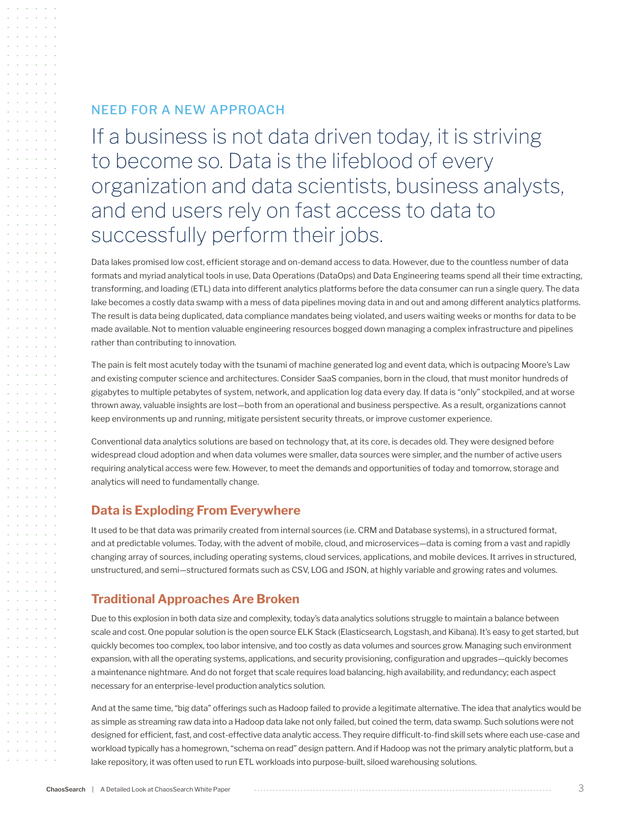# NEED FOR A NEW APPROACH

If a business is not data driven today, it is striving to become so. Data is the lifeblood of every organization and data scientists, business analysts, and end users rely on fast access to data to successfully perform their jobs.

Data lakes promised low cost, efficient storage and on-demand access to data. However, due to the countless number of data formats and myriad analytical tools in use, Data Operations (DataOps) and Data Engineering teams spend all their time extracting, transforming, and loading (ETL) data into different analytics platforms before the data consumer can run a single query. The data lake becomes a costly data swamp with a mess of data pipelines moving data in and out and among different analytics platforms. The result is data being duplicated, data compliance mandates being violated, and users waiting weeks or months for data to be made available. Not to mention valuable engineering resources bogged down managing a complex infrastructure and pipelines rather than contributing to innovation.

The pain is felt most acutely today with the tsunami of machine generated log and event data, which is outpacing Moore's Law and existing computer science and architectures. Consider SaaS companies, born in the cloud, that must monitor hundreds of gigabytes to multiple petabytes of system, network, and application log data every day. If data is "only" stockpiled, and at worse thrown away, valuable insights are lost—both from an operational and business perspective. As a result, organizations cannot keep environments up and running, mitigate persistent security threats, or improve customer experience.

Conventional data analytics solutions are based on technology that, at its core, is decades old. They were designed before widespread cloud adoption and when data volumes were smaller, data sources were simpler, and the number of active users requiring analytical access were few. However, to meet the demands and opportunities of today and tomorrow, storage and analytics will need to fundamentally change.

#### **Data is Exploding From Everywhere**

It used to be that data was primarily created from internal sources (i.e. CRM and Database systems), in a structured format, and at predictable volumes. Today, with the advent of mobile, cloud, and microservices—data is coming from a vast and rapidly changing array of sources, including operating systems, cloud services, applications, and mobile devices. It arrives in structured, unstructured, and semi—structured formats such as CSV, LOG and JSON, at highly variable and growing rates and volumes.

#### **Traditional Approaches Are Broken**

Due to this explosion in both data size and complexity, today's data analytics solutions struggle to maintain a balance between scale and cost. One popular solution is the open source ELK Stack (Elasticsearch, Logstash, and Kibana). It's easy to get started, but quickly becomes too complex, too labor intensive, and too costly as data volumes and sources grow. Managing such environment expansion, with all the operating systems, applications, and security provisioning, configuration and upgrades—quickly becomes a maintenance nightmare. And do not forget that scale requires load balancing, high availability, and redundancy; each aspect necessary for an enterprise-level production analytics solution.

And at the same time, "big data" offerings such as Hadoop failed to provide a legitimate alternative. The idea that analytics would be as simple as streaming raw data into a Hadoop data lake not only failed, but coined the term, data swamp. Such solutions were not designed for efficient, fast, and cost-effective data analytic access. They require difficult-to-find skill sets where each use-case and workload typically has a homegrown, "schema on read" design pattern. And if Hadoop was not the primary analytic platform, but a lake repository, it was often used to run ETL workloads into purpose-built, siloed warehousing solutions.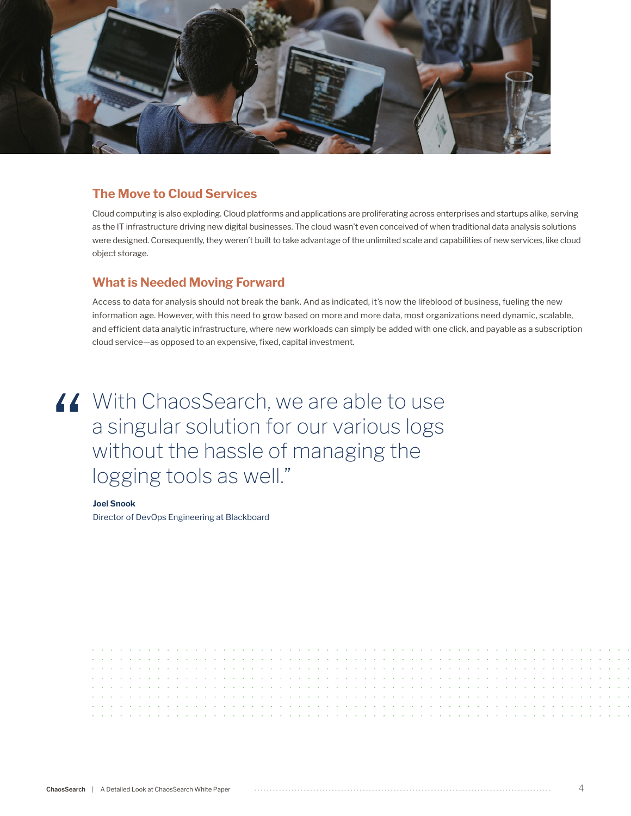

#### **The Move to Cloud Services**

Cloud computing is also exploding. Cloud platforms and applications are proliferating across enterprises and startups alike, serving as the IT infrastructure driving new digital businesses. The cloud wasn't even conceived of when traditional data analysis solutions were designed. Consequently, they weren't built to take advantage of the unlimited scale and capabilities of new services, like cloud object storage.

#### **What is Needed Moving Forward**

Access to data for analysis should not break the bank. And as indicated, it's now the lifeblood of business, fueling the new information age. However, with this need to grow based on more and more data, most organizations need dynamic, scalable, and efficient data analytic infrastructure, where new workloads can simply be added with one click, and payable as a subscription cloud service—as opposed to an expensive, fixed, capital investment.

# If With ChaosSearch, we are able to use<br>a singular solution for our various logs<br>without the hassle of managing the<br>logging tools as well" a singular solution for our various logs without the hassle of managing the logging tools as well."

**Joel Snook**

Director of DevOps Engineering at Blackboard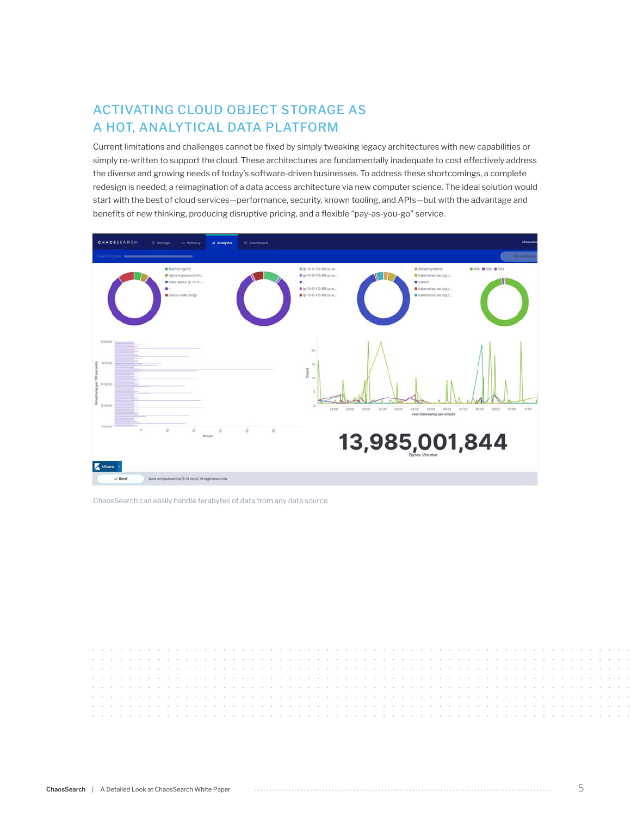# ACTIVATING CLOUD OBJECT STORAGE AS A HOT, ANALYTICAL DATA PLATFORM

Current limitations and challenges cannot be fixed by simply tweaking legacy architectures with new capabilities or simply re-written to support the cloud. These architectures are fundamentally inadequate to cost effectively address the diverse and growing needs of today's software-driven businesses. To address these shortcomings, a complete redesign is needed; a reimagination of a data access architecture via new computer science. The ideal solution would start with the best of cloud services—performance, security, known tooling, and APIs—but with the advantage and benefits of new thinking, producing disruptive pricing, and a flexible "pay-as-you-go" service.



ChaosSearch can easily handle terabytes of data from any data source

ä,  $\Delta$  $\sim$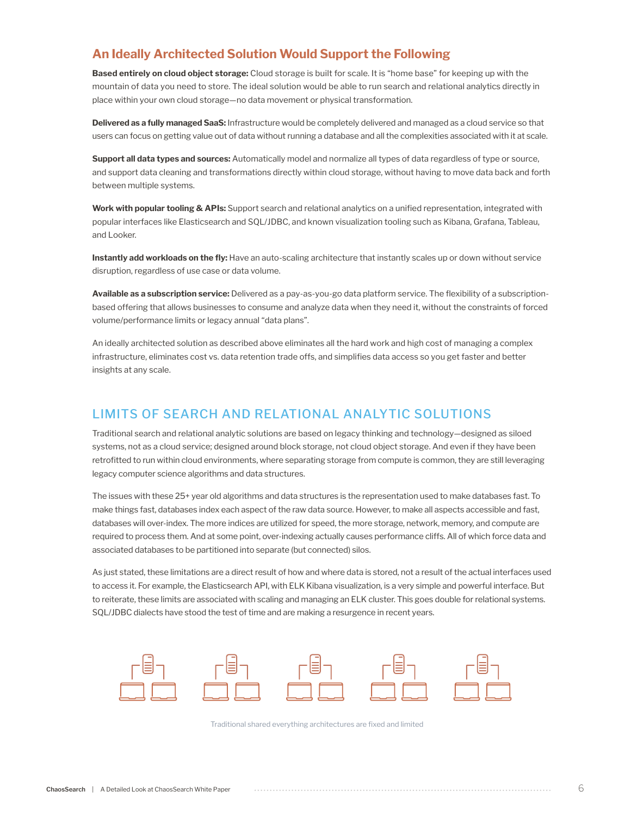### **An Ideally Architected Solution Would Support the Following**

**Based entirely on cloud object storage:** Cloud storage is built for scale. It is "home base" for keeping up with the mountain of data you need to store. The ideal solution would be able to run search and relational analytics directly in place within your own cloud storage—no data movement or physical transformation.

**Delivered as a fully managed SaaS:** Infrastructure would be completely delivered and managed as a cloud service so that users can focus on getting value out of data without running a database and all the complexities associated with it at scale.

**Support all data types and sources:** Automatically model and normalize all types of data regardless of type or source, and support data cleaning and transformations directly within cloud storage, without having to move data back and forth between multiple systems.

**Work with popular tooling & APIs:** Support search and relational analytics on a unified representation, integrated with popular interfaces like Elasticsearch and SQL/JDBC, and known visualization tooling such as Kibana, Grafana, Tableau, and Looker.

**Instantly add workloads on the fly:** Have an auto-scaling architecture that instantly scales up or down without service disruption, regardless of use case or data volume.

**Available as a subscription service:** Delivered as a pay-as-you-go data platform service. The flexibility of a subscriptionbased offering that allows businesses to consume and analyze data when they need it, without the constraints of forced volume/performance limits or legacy annual "data plans".

An ideally architected solution as described above eliminates all the hard work and high cost of managing a complex infrastructure, eliminates cost vs. data retention trade offs, and simplifies data access so you get faster and better insights at any scale.

# LIMITS OF SEARCH AND RELATIONAL ANALYTIC SOLUTIONS

Traditional search and relational analytic solutions are based on legacy thinking and technology—designed as siloed systems, not as a cloud service; designed around block storage, not cloud object storage. And even if they have been retrofitted to run within cloud environments, where separating storage from compute is common, they are still leveraging legacy computer science algorithms and data structures.

The issues with these 25+ year old algorithms and data structures is the representation used to make databases fast. To make things fast, databases index each aspect of the raw data source. However, to make all aspects accessible and fast, databases will over-index. The more indices are utilized for speed, the more storage, network, memory, and compute are required to process them. And at some point, over-indexing actually causes performance cliffs. All of which force data and associated databases to be partitioned into separate (but connected) silos.

As just stated, these limitations are a direct result of how and where data is stored, not a result of the actual interfaces used to access it. For example, the Elasticsearch API, with ELK Kibana visualization, is a very simple and powerful interface. But to reiterate, these limits are associated with scaling and managing an ELK cluster. This goes double for relational systems. SQL/JDBC dialects have stood the test of time and are making a resurgence in recent years.



Traditional shared everything architectures are fixed and limited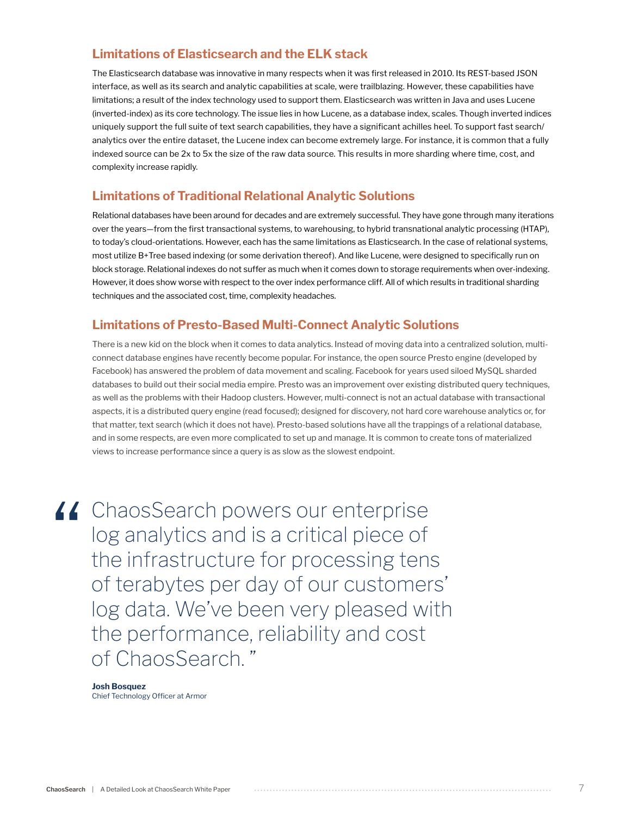### **Limitations of Elasticsearch and the ELK stack**

The Elasticsearch database was innovative in many respects when it was first released in 2010. Its REST-based JSON interface, as well as its search and analytic capabilities at scale, were trailblazing. However, these capabilities have limitations; a result of the index technology used to support them. Elasticsearch was written in Java and uses Lucene (inverted-index) as its core technology. The issue lies in how Lucene, as a database index, scales. Though inverted indices uniquely support the full suite of text search capabilities, they have a significant achilles heel. To support fast search/ analytics over the entire dataset, the Lucene index can become extremely large. For instance, it is common that a fully indexed source can be 2x to 5x the size of the raw data source. This results in more sharding where time, cost, and complexity increase rapidly.

#### **Limitations of Traditional Relational Analytic Solutions**

Relational databases have been around for decades and are extremely successful. They have gone through many iterations over the years—from the first transactional systems, to warehousing, to hybrid transnational analytic processing (HTAP), to today's cloud-orientations. However, each has the same limitations as Elasticsearch. In the case of relational systems, most utilize B+Tree based indexing (or some derivation thereof). And like Lucene, were designed to specifically run on block storage. Relational indexes do not suffer as much when it comes down to storage requirements when over-indexing. However, it does show worse with respect to the over index performance cliff. All of which results in traditional sharding techniques and the associated cost, time, complexity headaches.

#### **Limitations of Presto-Based Multi-Connect Analytic Solutions**

There is a new kid on the block when it comes to data analytics. Instead of moving data into a centralized solution, multiconnect database engines have recently become popular. For instance, the open source Presto engine (developed by Facebook) has answered the problem of data movement and scaling. Facebook for years used siloed MySQL sharded databases to build out their social media empire. Presto was an improvement over existing distributed query techniques, as well as the problems with their Hadoop clusters. However, multi-connect is not an actual database with transactional aspects, it is a distributed query engine (read focused); designed for discovery, not hard core warehouse analytics or, for that matter, text search (which it does not have). Presto-based solutions have all the trappings of a relational database, and in some respects, are even more complicated to set up and manage. It is common to create tons of materialized views to increase performance since a query is as slow as the slowest endpoint.

If ChaosSearch powers our enterprise<br>
log analytics and is a critical piece of<br>
the infrastructure for processing tens<br>
of terabytes per day of our customer log analytics and is a critical piece of the infrastructure for processing tens of terabytes per day of our customers' log data. We've been very pleased with the performance, reliability and cost of ChaosSearch. "

#### **Josh Bosquez**

Chief Technology Officer at Armor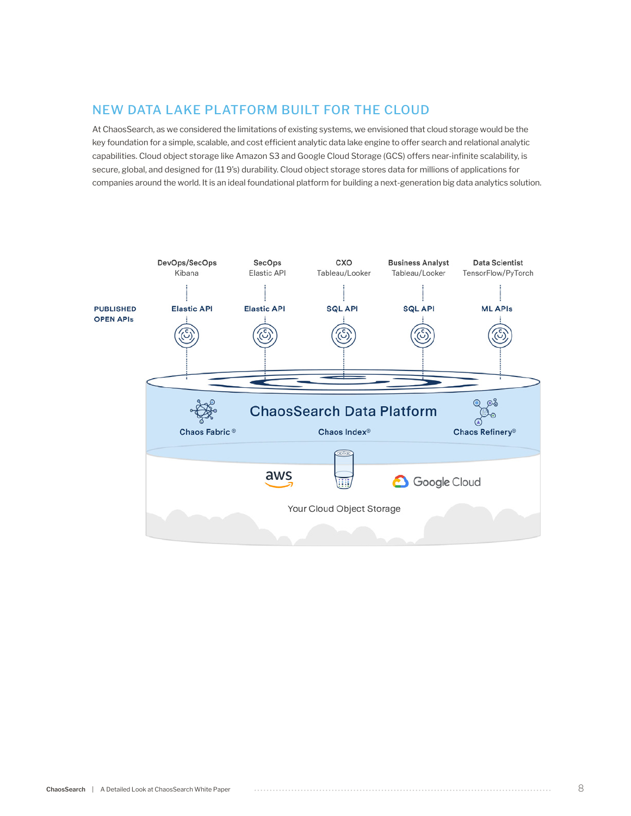# NEW DATA LAKE PLATFORM BUILT FOR THE CLOUD

At ChaosSearch, as we considered the limitations of existing systems, we envisioned that cloud storage would be the key foundation for a simple, scalable, and cost efficient analytic data lake engine to offer search and relational analytic capabilities. Cloud object storage like Amazon S3 and Google Cloud Storage (GCS) offers near-infinite scalability, is secure, global, and designed for (11 9's) durability. Cloud object storage stores data for millions of applications for companies around the world. It is an ideal foundational platform for building a next-generation big data analytics solution.

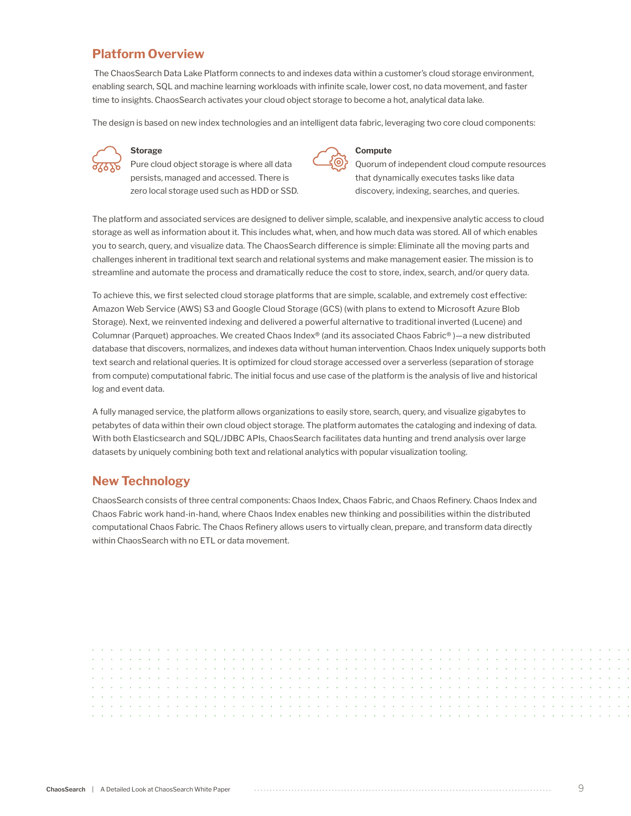# **Platform Overview**

 The ChaosSearch Data Lake Platform connects to and indexes data within a customer's cloud storage environment, enabling search, SQL and machine learning workloads with infinite scale, lower cost, no data movement, and faster time to insights. ChaosSearch activates your cloud object storage to become a hot, analytical data lake.

The design is based on new index technologies and an intelligent data fabric, leveraging two core cloud components:



#### **Storage**

Pure cloud object storage is where all data persists, managed and accessed. There is zero local storage used such as HDD or SSD.



#### **Compute**

Quorum of independent cloud compute resources that dynamically executes tasks like data discovery, indexing, searches, and queries.

The platform and associated services are designed to deliver simple, scalable, and inexpensive analytic access to cloud storage as well as information about it. This includes what, when, and how much data was stored. All of which enables you to search, query, and visualize data. The ChaosSearch difference is simple: Eliminate all the moving parts and challenges inherent in traditional text search and relational systems and make management easier. The mission is to streamline and automate the process and dramatically reduce the cost to store, index, search, and/or query data.

To achieve this, we first selected cloud storage platforms that are simple, scalable, and extremely cost effective: Amazon Web Service (AWS) S3 and Google Cloud Storage (GCS) (with plans to extend to Microsoft Azure Blob Storage). Next, we reinvented indexing and delivered a powerful alternative to traditional inverted (Lucene) and Columnar (Parquet) approaches. We created Chaos Index® (and its associated Chaos Fabric® )—a new distributed database that discovers, normalizes, and indexes data without human intervention. Chaos Index uniquely supports both text search and relational queries. It is optimized for cloud storage accessed over a serverless (separation of storage from compute) computational fabric. The initial focus and use case of the platform is the analysis of live and historical log and event data.

A fully managed service, the platform allows organizations to easily store, search, query, and visualize gigabytes to petabytes of data within their own cloud object storage. The platform automates the cataloging and indexing of data. With both Elasticsearch and SQL/JDBC APIs, ChaosSearch facilitates data hunting and trend analysis over large datasets by uniquely combining both text and relational analytics with popular visualization tooling.

#### **New Technology**

ChaosSearch consists of three central components: Chaos Index, Chaos Fabric, and Chaos Refinery. Chaos Index and Chaos Fabric work hand-in-hand, where Chaos Index enables new thinking and possibilities within the distributed computational Chaos Fabric. The Chaos Refinery allows users to virtually clean, prepare, and transform data directly within ChaosSearch with no ETL or data movement.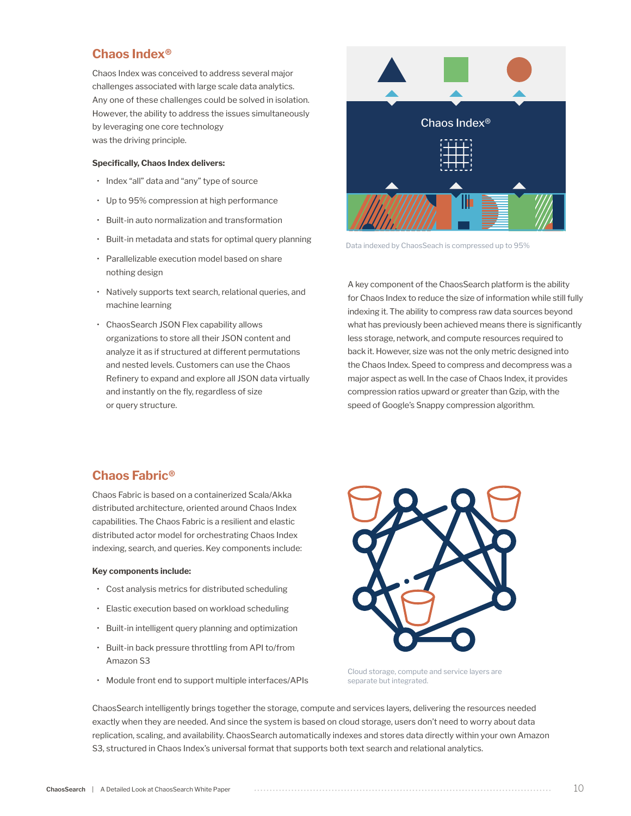#### **Chaos Index®**

Chaos Index was conceived to address several major challenges associated with large scale data analytics. Any one of these challenges could be solved in isolation. However, the ability to address the issues simultaneously by leveraging one core technology was the driving principle.

#### **Specifically, Chaos Index delivers:**

- Index "all" data and "any" type of source
- Up to 95% compression at high performance
- Built-in auto normalization and transformation
- Built-in metadata and stats for optimal query planning
- Parallelizable execution model based on share nothing design
- Natively supports text search, relational queries, and machine learning
- ChaosSearch JSON Flex capability allows organizations to store all their JSON content and analyze it as if structured at different permutations and nested levels. Customers can use the Chaos Refinery to expand and explore all JSON data virtually and instantly on the fly, regardless of size or query structure.



Data indexed by ChaosSeach is compressed up to 95%

A key component of the ChaosSearch platform is the ability for Chaos Index to reduce the size of information while still fully indexing it. The ability to compress raw data sources beyond what has previously been achieved means there is significantly less storage, network, and compute resources required to back it. However, size was not the only metric designed into the Chaos Index. Speed to compress and decompress was a major aspect as well. In the case of Chaos Index, it provides compression ratios upward or greater than Gzip, with the speed of Google's Snappy compression algorithm.

#### **Chaos Fabric®**

Chaos Fabric is based on a containerized Scala/Akka distributed architecture, oriented around Chaos Index capabilities. The Chaos Fabric is a resilient and elastic distributed actor model for orchestrating Chaos Index indexing, search, and queries. Key components include:

#### **Key components include:**

- Cost analysis metrics for distributed scheduling
- Elastic execution based on workload scheduling
- Built-in intelligent query planning and optimization
- Built-in back pressure throttling from API to/from Amazon S3
- Module front end to support multiple interfaces/APIs



Cloud storage, compute and service layers are separate but integrated.

ChaosSearch intelligently brings together the storage, compute and services layers, delivering the resources needed exactly when they are needed. And since the system is based on cloud storage, users don't need to worry about data replication, scaling, and availability. ChaosSearch automatically indexes and stores data directly within your own Amazon S3, structured in Chaos Index's universal format that supports both text search and relational analytics.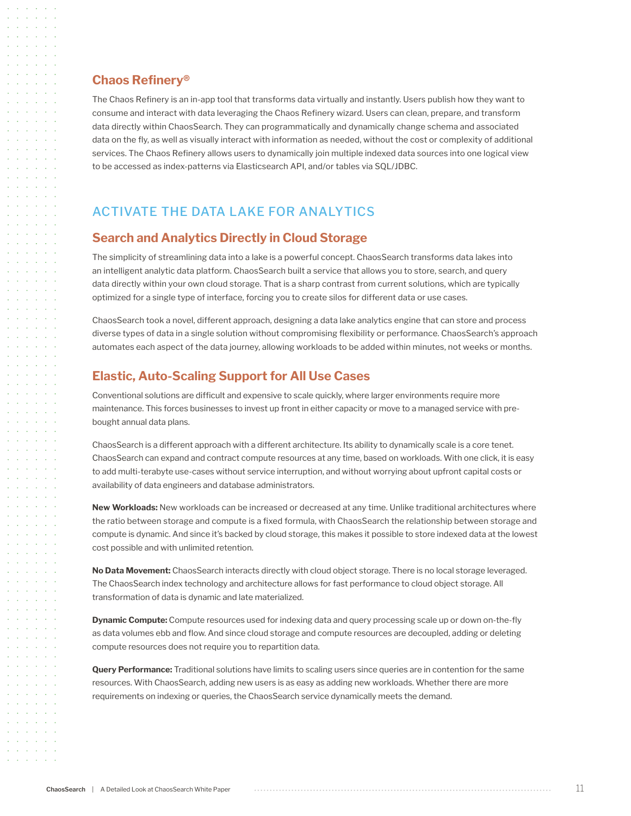#### **Chaos Refinery®**

The Chaos Refinery is an in-app tool that transforms data virtually and instantly. Users publish how they want to consume and interact with data leveraging the Chaos Refinery wizard. Users can clean, prepare, and transform data directly within ChaosSearch. They can programmatically and dynamically change schema and associated data on the fly, as well as visually interact with information as needed, without the cost or complexity of additional services. The Chaos Refinery allows users to dynamically join multiple indexed data sources into one logical view to be accessed as index-patterns via Elasticsearch API, and/or tables via SQL/JDBC.

# ACTIVATE THE DATA LAKE FOR ANALYTICS

#### **Search and Analytics Directly in Cloud Storage**

The simplicity of streamlining data into a lake is a powerful concept. ChaosSearch transforms data lakes into an intelligent analytic data platform. ChaosSearch built a service that allows you to store, search, and query data directly within your own cloud storage. That is a sharp contrast from current solutions, which are typically optimized for a single type of interface, forcing you to create silos for different data or use cases.

ChaosSearch took a novel, different approach, designing a data lake analytics engine that can store and process diverse types of data in a single solution without compromising flexibility or performance. ChaosSearch's approach automates each aspect of the data journey, allowing workloads to be added within minutes, not weeks or months.

#### **Elastic, Auto-Scaling Support for All Use Cases**

Conventional solutions are difficult and expensive to scale quickly, where larger environments require more maintenance. This forces businesses to invest up front in either capacity or move to a managed service with prebought annual data plans.

ChaosSearch is a different approach with a different architecture. Its ability to dynamically scale is a core tenet. ChaosSearch can expand and contract compute resources at any time, based on workloads. With one click, it is easy to add multi-terabyte use-cases without service interruption, and without worrying about upfront capital costs or availability of data engineers and database administrators.

**New Workloads:** New workloads can be increased or decreased at any time. Unlike traditional architectures where the ratio between storage and compute is a fixed formula, with ChaosSearch the relationship between storage and compute is dynamic. And since it's backed by cloud storage, this makes it possible to store indexed data at the lowest cost possible and with unlimited retention.

**No Data Movement:** ChaosSearch interacts directly with cloud object storage. There is no local storage leveraged. The ChaosSearch index technology and architecture allows for fast performance to cloud object storage. All transformation of data is dynamic and late materialized.

**Dynamic Compute:** Compute resources used for indexing data and query processing scale up or down on-the-fly as data volumes ebb and flow. And since cloud storage and compute resources are decoupled, adding or deleting compute resources does not require you to repartition data.

**Query Performance:** Traditional solutions have limits to scaling users since queries are in contention for the same resources. With ChaosSearch, adding new users is as easy as adding new workloads. Whether there are more requirements on indexing or queries, the ChaosSearch service dynamically meets the demand.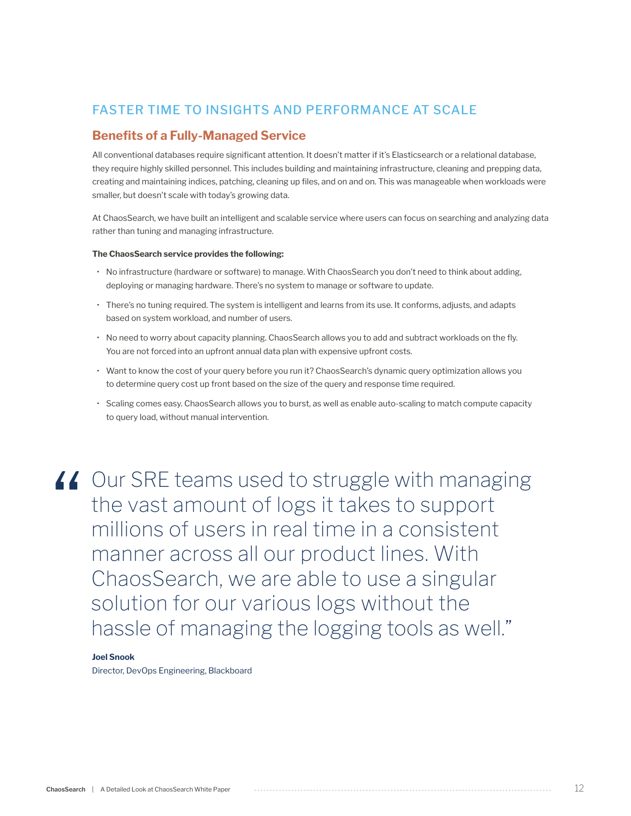# FASTER TIME TO INSIGHTS AND PERFORMANCE AT SCALE

#### **Benefits of a Fully-Managed Service**

All conventional databases require significant attention. It doesn't matter if it's Elasticsearch or a relational database, they require highly skilled personnel. This includes building and maintaining infrastructure, cleaning and prepping data, creating and maintaining indices, patching, cleaning up files, and on and on. This was manageable when workloads were smaller, but doesn't scale with today's growing data.

At ChaosSearch, we have built an intelligent and scalable service where users can focus on searching and analyzing data rather than tuning and managing infrastructure.

#### **The ChaosSearch service provides the following:**

- No infrastructure (hardware or software) to manage. With ChaosSearch you don't need to think about adding, deploying or managing hardware. There's no system to manage or software to update.
- There's no tuning required. The system is intelligent and learns from its use. It conforms, adjusts, and adapts based on system workload, and number of users.
- No need to worry about capacity planning. ChaosSearch allows you to add and subtract workloads on the fly. You are not forced into an upfront annual data plan with expensive upfront costs.
- Want to know the cost of your query before you run it? ChaosSearch's dynamic query optimization allows you to determine query cost up front based on the size of the query and response time required.
- Scaling comes easy. ChaosSearch allows you to burst, as well as enable auto-scaling to match compute capacity to query load, without manual intervention.

If Our SRE teams used to struggle with managing<br>the vast amount of logs it takes to support<br>millions of users in real time in a consistent<br>manner across all our product lines With the vast amount of logs it takes to support millions of users in real time in a consistent manner across all our product lines. With ChaosSearch, we are able to use a singular solution for our various logs without the hassle of managing the logging tools as well."

#### **Joel Snook**

Director, DevOps Engineering, Blackboard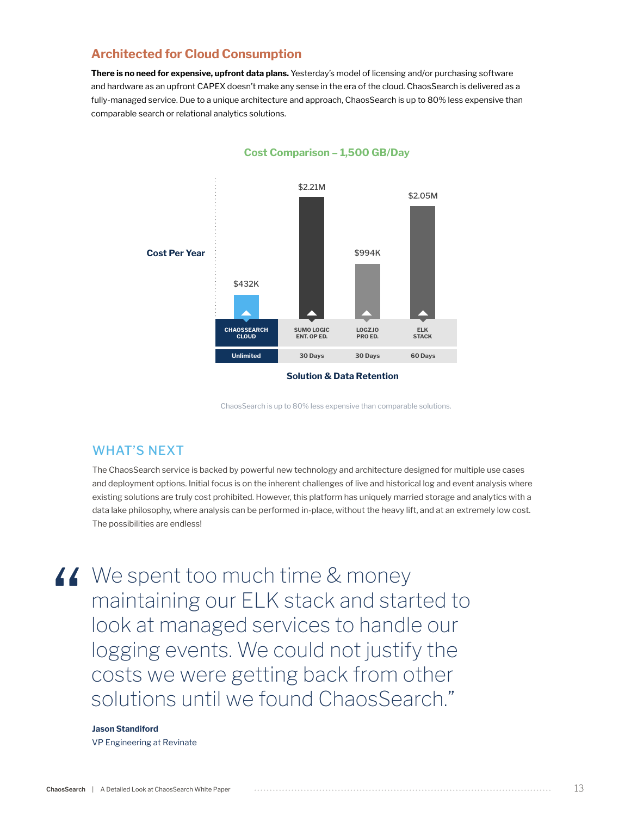#### **Architected for Cloud Consumption**

**There is no need for expensive, upfront data plans.** Yesterday's model of licensing and/or purchasing software and hardware as an upfront CAPEX doesn't make any sense in the era of the cloud. ChaosSearch is delivered as a fully-managed service. Due to a unique architecture and approach, ChaosSearch is up to 80% less expensive than comparable search or relational analytics solutions.



**Cost Comparison – 1,500 GB/Day**

**Solution & Data Retention**

ChaosSearch is up to 80% less expensive than comparable solutions.

#### WHAT'S NEXT

The ChaosSearch service is backed by powerful new technology and architecture designed for multiple use cases and deployment options. Initial focus is on the inherent challenges of live and historical log and event analysis where existing solutions are truly cost prohibited. However, this platform has uniquely married storage and analytics with a data lake philosophy, where analysis can be performed in-place, without the heavy lift, and at an extremely low cost. The possibilities are endless!

We spent too much time & money<br>
maintaining our ELK stack and star<br>
look at managed services to handle<br>
logging events We could not justify maintaining our ELK stack and started to look at managed services to handle our logging events. We could not justify the costs we were getting back from other solutions until we found ChaosSearch."

#### **Jason Standiford**

VP Engineering at Revinate